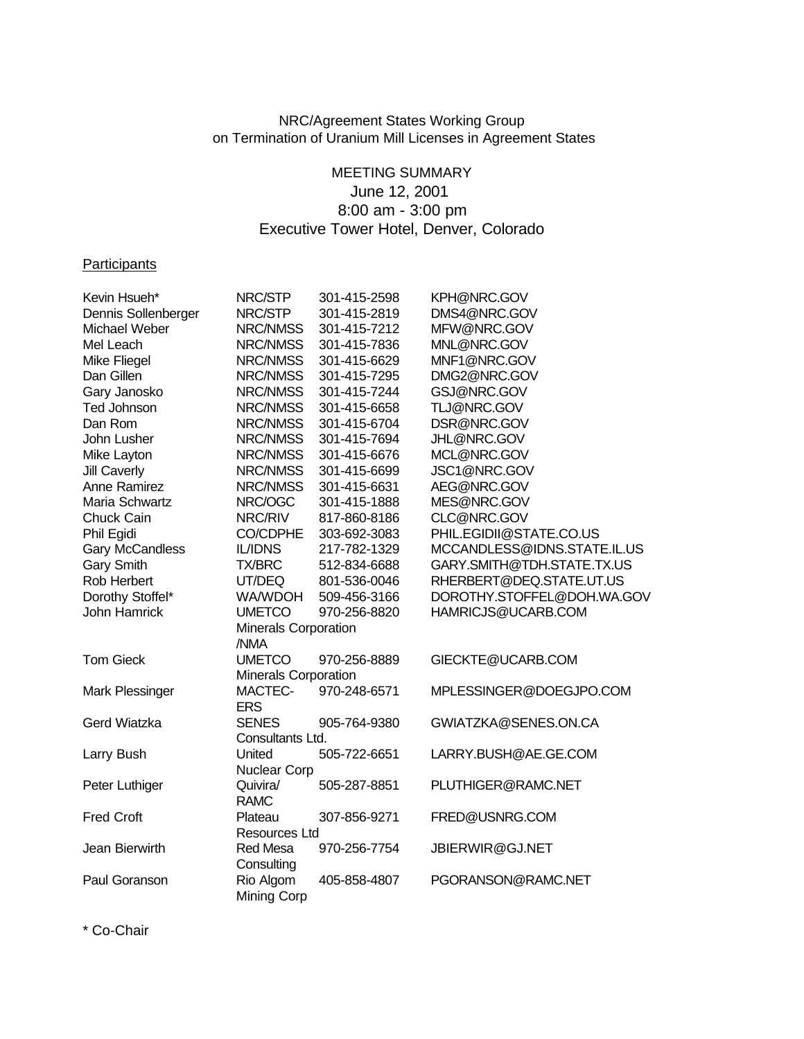## NRC/Agreement States Working Group on Termination of Uranium Mill Licenses in Agreement States

## MEETING SUMMARY June 12, 2001 8:00 am - 3:00 pm Executive Tower Hotel, Denver, Colorado

## **Participants**

| Kevin Hsueh*           | NRC/STP                     | 301-415-2598 | KPH@NRC.GOV                 |
|------------------------|-----------------------------|--------------|-----------------------------|
| Dennis Sollenberger    | NRC/STP                     | 301-415-2819 | DMS4@NRC.GOV                |
| Michael Weber          | NRC/NMSS                    | 301-415-7212 | MFW@NRC.GOV                 |
| Mel Leach              | NRC/NMSS                    | 301-415-7836 | MNL@NRC.GOV                 |
| Mike Fliegel           | NRC/NMSS                    | 301-415-6629 | MNF1@NRC.GOV                |
| Dan Gillen             | NRC/NMSS                    | 301-415-7295 | DMG2@NRC.GOV                |
| Gary Janosko           | NRC/NMSS                    | 301-415-7244 | GSJ@NRC.GOV                 |
| <b>Ted Johnson</b>     | NRC/NMSS                    | 301-415-6658 | TLJ@NRC.GOV                 |
| Dan Rom                | NRC/NMSS                    | 301-415-6704 | DSR@NRC.GOV                 |
| John Lusher            | NRC/NMSS                    | 301-415-7694 | JHL@NRC.GOV                 |
| Mike Layton            | NRC/NMSS                    | 301-415-6676 | MCL@NRC.GOV                 |
| <b>Jill Caverly</b>    | NRC/NMSS                    | 301-415-6699 | JSC1@NRC.GOV                |
| <b>Anne Ramirez</b>    | NRC/NMSS                    | 301-415-6631 | AEG@NRC.GOV                 |
| Maria Schwartz         | NRC/OGC                     | 301-415-1888 | MES@NRC.GOV                 |
| Chuck Cain             | NRC/RIV                     | 817-860-8186 | CLC@NRC.GOV                 |
| Phil Egidi             | <b>CO/CDPHE</b>             | 303-692-3083 | PHIL.EGIDII@STATE.CO.US     |
| <b>Gary McCandless</b> | <b>IL/IDNS</b>              | 217-782-1329 | MCCANDLESS@IDNS.STATE.IL.US |
| <b>Gary Smith</b>      | <b>TX/BRC</b>               | 512-834-6688 | GARY.SMITH@TDH.STATE.TX.US  |
| Rob Herbert            | UT/DEQ                      | 801-536-0046 | RHERBERT@DEQ.STATE.UT.US    |
| Dorothy Stoffel*       | WA/WDOH                     | 509-456-3166 | DOROTHY.STOFFEL@DOH.WA.GOV  |
| John Hamrick           | <b>UMETCO</b>               | 970-256-8820 | HAMRICJS@UCARB.COM          |
|                        | <b>Minerals Corporation</b> |              |                             |
|                        | /NMA                        |              |                             |
| <b>Tom Gieck</b>       | <b>UMETCO</b>               | 970-256-8889 | GIECKTE@UCARB.COM           |
|                        | Minerals Corporation        |              |                             |
| Mark Plessinger        | MACTEC-                     | 970-248-6571 | MPLESSINGER@DOEGJPO.COM     |
|                        | <b>ERS</b>                  |              |                             |
| Gerd Wiatzka           | <b>SENES</b>                | 905-764-9380 | GWIATZKA@SENES.ON.CA        |
|                        | Consultants Ltd.            |              |                             |
| Larry Bush             | United                      | 505-722-6651 | LARRY.BUSH@AE.GE.COM        |
|                        | <b>Nuclear Corp</b>         |              |                             |
| Peter Luthiger         | Quivira/                    | 505-287-8851 | PLUTHIGER@RAMC.NET          |
|                        | <b>RAMC</b>                 |              |                             |
| <b>Fred Croft</b>      | Plateau                     | 307-856-9271 | FRED@USNRG.COM              |
|                        | Resources Ltd               |              |                             |
| Jean Bierwirth         | Red Mesa                    | 970-256-7754 | JBIERWIR@GJ.NET             |
|                        | Consulting                  |              |                             |
| Paul Goranson          | Rio Algom                   | 405-858-4807 | PGORANSON@RAMC.NET          |
|                        | <b>Mining Corp</b>          |              |                             |
|                        |                             |              |                             |

\* Co-Chair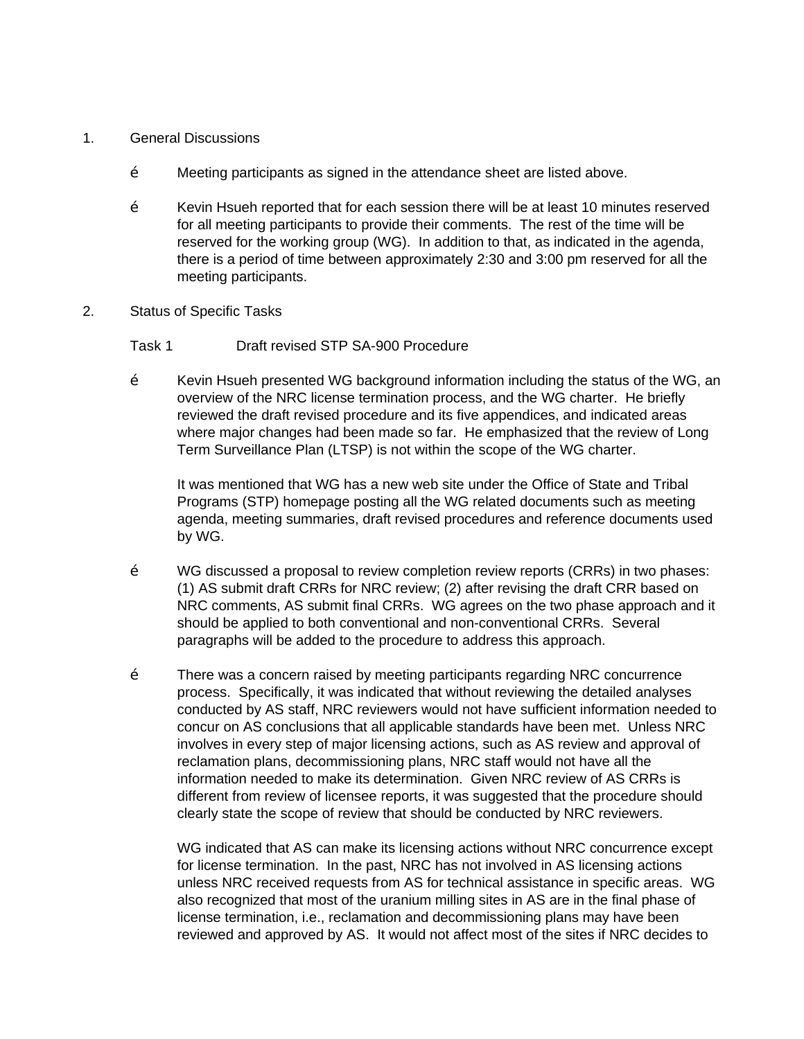- 1. General Discussions
	- Ž Meeting participants as signed in the attendance sheet are listed above.
	- $\check{Z}$  Kevin Hsueh reported that for each session there will be at least 10 minutes reserved for all meeting participants to provide their comments. The rest of the time will be reserved for the working group (WG). In addition to that, as indicated in the agenda, there is a period of time between approximately 2:30 and 3:00 pm reserved for all the meeting participants.
- 2. Status of Specific Tasks
	- Task 1 Draft revised STP SA-900 Procedure
	- $\check{Z}$  Kevin Hsueh presented WG background information including the status of the WG, an overview of the NRC license termination process, and the WG charter. He briefly reviewed the draft revised procedure and its five appendices, and indicated areas where major changes had been made so far. He emphasized that the review of Long Term Surveillance Plan (LTSP) is not within the scope of the WG charter.

It was mentioned that WG has a new web site under the Office of State and Tribal Programs (STP) homepage posting all the WG related documents such as meeting agenda, meeting summaries, draft revised procedures and reference documents used by WG.

- Ž WG discussed a proposal to review completion review reports (CRRs) in two phases: (1) AS submit draft CRRs for NRC review; (2) after revising the draft CRR based on NRC comments, AS submit final CRRs. WG agrees on the two phase approach and it should be applied to both conventional and non-conventional CRRs. Several paragraphs will be added to the procedure to address this approach.
- Ž There was a concern raised by meeting participants regarding NRC concurrence process. Specifically, it was indicated that without reviewing the detailed analyses conducted by AS staff, NRC reviewers would not have sufficient information needed to concur on AS conclusions that all applicable standards have been met. Unless NRC involves in every step of major licensing actions, such as AS review and approval of reclamation plans, decommissioning plans, NRC staff would not have all the information needed to make its determination. Given NRC review of AS CRRs is different from review of licensee reports, it was suggested that the procedure should clearly state the scope of review that should be conducted by NRC reviewers.

WG indicated that AS can make its licensing actions without NRC concurrence except for license termination. In the past, NRC has not involved in AS licensing actions unless NRC received requests from AS for technical assistance in specific areas. WG also recognized that most of the uranium milling sites in AS are in the final phase of license termination, i.e., reclamation and decommissioning plans may have been reviewed and approved by AS. It would not affect most of the sites if NRC decides to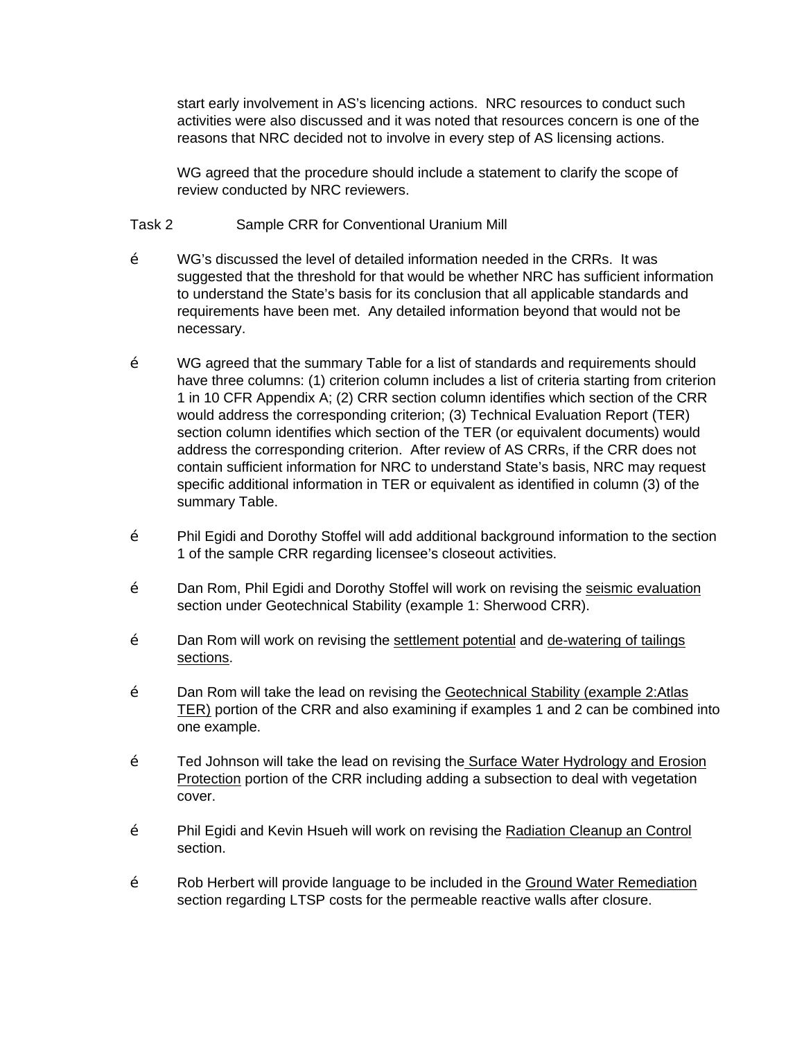start early involvement in AS's licencing actions. NRC resources to conduct such activities were also discussed and it was noted that resources concern is one of the reasons that NRC decided not to involve in every step of AS licensing actions.

WG agreed that the procedure should include a statement to clarify the scope of review conducted by NRC reviewers.

Task 2 Sample CRR for Conventional Uranium Mill

- Ž WG's discussed the level of detailed information needed in the CRRs. It was suggested that the threshold for that would be whether NRC has sufficient information to understand the State's basis for its conclusion that all applicable standards and requirements have been met. Any detailed information beyond that would not be necessary.
- Ž WG agreed that the summary Table for a list of standards and requirements should have three columns: (1) criterion column includes a list of criteria starting from criterion 1 in 10 CFR Appendix A; (2) CRR section column identifies which section of the CRR would address the corresponding criterion; (3) Technical Evaluation Report (TER) section column identifies which section of the TER (or equivalent documents) would address the corresponding criterion. After review of AS CRRs, if the CRR does not contain sufficient information for NRC to understand State's basis, NRC may request specific additional information in TER or equivalent as identified in column (3) of the summary Table.
- Ž Phil Egidi and Dorothy Stoffel will add additional background information to the section 1 of the sample CRR regarding licensee's closeout activities.
- Ž Dan Rom, Phil Egidi and Dorothy Stoffel will work on revising the seismic evaluation section under Geotechnical Stability (example 1: Sherwood CRR).
- $\check{Z}$  Dan Rom will work on revising the settlement potential and de-watering of tailings sections.
- $\check{Z}$  Dan Rom will take the lead on revising the Geotechnical Stability (example 2:Atlas TER) portion of the CRR and also examining if examples 1 and 2 can be combined into one example.
- $\check{Z}$  Ted Johnson will take the lead on revising the Surface Water Hydrology and Erosion Protection portion of the CRR including adding a subsection to deal with vegetation cover.
- Ž Phil Egidi and Kevin Hsueh will work on revising the Radiation Cleanup an Control section.
- Ž Rob Herbert will provide language to be included in the Ground Water Remediation section regarding LTSP costs for the permeable reactive walls after closure.